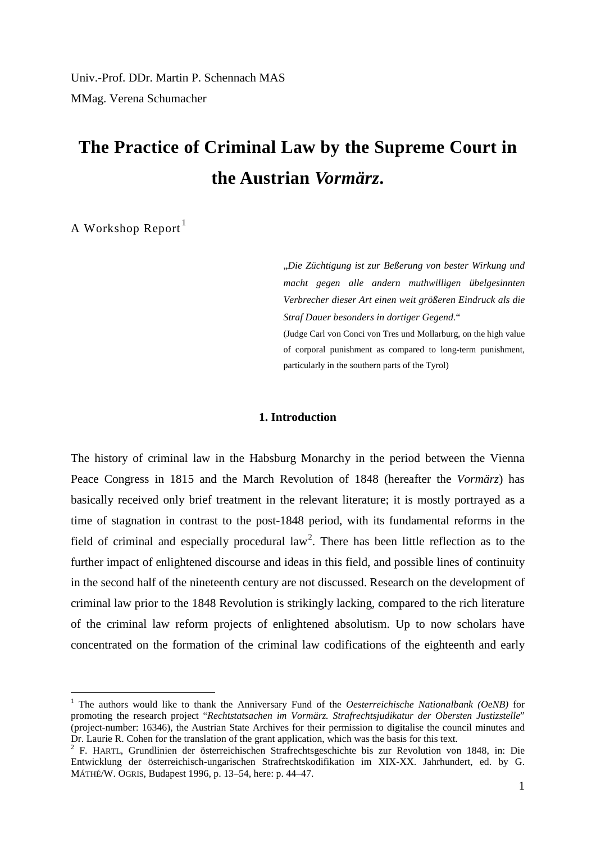Univ.-Prof. DDr. Martin P. Schennach MAS MMag. Verena Schumacher

# **The Practice of Criminal Law by the Supreme Court in the Austrian** *Vormärz***.**

A Workshop Report<sup>[1](#page-0-0)</sup>

"*Die Züchtigung ist zur Beßerung von bester Wirkung und macht gegen alle andern muthwilligen übelgesinnten Verbrecher dieser Art einen weit größeren Eindruck als die Straf Dauer besonders in dortiger Gegend.*" (Judge Carl von Conci von Tres und Mollarburg, on the high value of corporal punishment as compared to long-term punishment, particularly in the southern parts of the Tyrol)

## **1. Introduction**

The history of criminal law in the Habsburg Monarchy in the period between the Vienna Peace Congress in 1815 and the March Revolution of 1848 (hereafter the *Vormärz*) has basically received only brief treatment in the relevant literature; it is mostly portrayed as a time of stagnation in contrast to the post-1848 period, with its fundamental reforms in the field of criminal and especially procedural law<sup>[2](#page-0-1)</sup>. There has been little reflection as to the further impact of enlightened discourse and ideas in this field, and possible lines of continuity in the second half of the nineteenth century are not discussed. Research on the development of criminal law prior to the 1848 Revolution is strikingly lacking, compared to the rich literature of the criminal law reform projects of enlightened absolutism. Up to now scholars have concentrated on the formation of the criminal law codifications of the eighteenth and early

<span id="page-0-0"></span> <sup>1</sup> The authors would like to thank the Anniversary Fund of the *Oesterreichische Nationalbank (OeNB)* for promoting the research project "*Rechtstatsachen im Vormärz. Strafrechtsjudikatur der Obersten Justizstelle*" (project-number: 16346), the Austrian State Archives for their permission to digitalise the council minutes and Dr. Laurie R. Cohen for the translation of the grant application, which was the basis for this text. <sup>2</sup> F. HARTL, Grundlinien der österreichischen Strafrechtsgeschichte bis zur Revolution von 1848, in: Die

<span id="page-0-1"></span>Entwicklung der österreichisch-ungarischen Strafrechtskodifikation im XIX-XX. Jahrhundert, ed. by G. MÁTHÉ/W. OGRIS, Budapest 1996, p. 13–54, here: p. 44–47.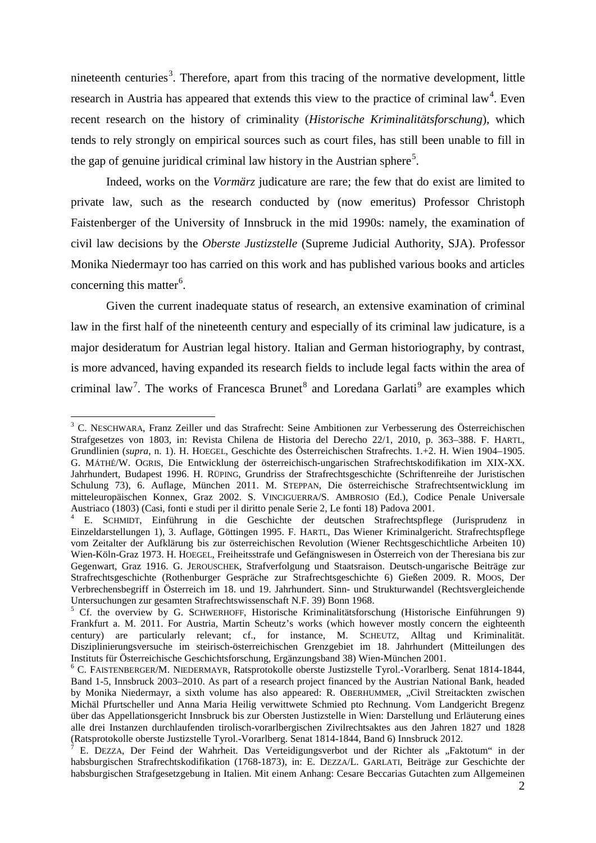nineteenth centuries<sup>[3](#page-1-0)</sup>. Therefore, apart from this tracing of the normative development, little research in Austria has appeared that extends this view to the practice of criminal law<sup>[4](#page-1-1)</sup>. Even recent research on the history of criminality (*Historische Kriminalitätsforschung*), which tends to rely strongly on empirical sources such as court files, has still been unable to fill in the gap of genuine juridical criminal law history in the Austrian sphere<sup>[5](#page-1-2)</sup>.

Indeed, works on the *Vormärz* judicature are rare; the few that do exist are limited to private law, such as the research conducted by (now emeritus) Professor Christoph Faistenberger of the University of Innsbruck in the mid 1990s: namely, the examination of civil law decisions by the *Oberste Justizstelle* (Supreme Judicial Authority, SJA). Professor Monika Niedermayr too has carried on this work and has published various books and articles concerning this matter<sup>[6](#page-1-3)</sup>.

Given the current inadequate status of research, an extensive examination of criminal law in the first half of the nineteenth century and especially of its criminal law judicature, is a major desideratum for Austrian legal history. Italian and German historiography, by contrast, is more advanced, having expanded its research fields to include legal facts within the area of criminal law<sup>[7](#page-1-4)</sup>. The works of Francesca Brunet<sup>[8](#page-1-2)</sup> and Loredana Garlati<sup>[9](#page-1-5)</sup> are examples which

<span id="page-1-0"></span><sup>&</sup>lt;sup>3</sup> C. NESCHWARA, Franz Zeiller und das Strafrecht: Seine Ambitionen zur Verbesserung des Österreichischen Strafgesetzes von 1803, in: Revista Chilena de Historia del Derecho 22/1, 2010, p. 363–388. F. HARTL, Grundlinien (*supra*, n. 1). H. HOEGEL, Geschichte des Österreichischen Strafrechts. 1.+2. H. Wien 1904–1905. G. MÁTHÉ/W. OGRIS, Die Entwicklung der österreichisch-ungarischen Strafrechtskodifikation im XIX-XX. Jahrhundert, Budapest 1996. H. RÜPING, Grundriss der Strafrechtsgeschichte (Schriftenreihe der Juristischen Schulung 73), 6. Auflage, München 2011. M. STEPPAN, Die österreichische Strafrechtsentwicklung im mitteleuropäischen Konnex, Graz 2002. S. VINCIGUERRA/S. AMBROSIO (Ed.), Codice Penale Universale Austriaco (1803) (Casi, fonti e studi per il diritto penale Serie 2, Le fonti 18) Padova 2001.

<span id="page-1-1"></span><sup>4</sup> E. SCHMIDT, Einführung in die Geschichte der deutschen Strafrechtspflege (Jurisprudenz in Einzeldarstellungen 1), 3. Auflage, Göttingen 1995. F. HARTL, Das Wiener Kriminalgericht. Strafrechtspflege vom Zeitalter der Aufklärung bis zur österreichischen Revolution (Wiener Rechtsgeschichtliche Arbeiten 10) Wien-Köln-Graz 1973. H. HOEGEL, Freiheitsstrafe und Gefängniswesen in Österreich von der Theresiana bis zur Gegenwart, Graz 1916. G. JEROUSCHEK, Strafverfolgung und Staatsraison. Deutsch-ungarische Beiträge zur Strafrechtsgeschichte (Rothenburger Gespräche zur Strafrechtsgeschichte 6) Gießen 2009. R. MOOS, Der Verbrechensbegriff in Österreich im 18. und 19. Jahrhundert. Sinn- und Strukturwandel (Rechtsvergleichende Untersuchungen zur gesamten Strafrechtswissenschaft N.F. 39) Bonn 1968.

<span id="page-1-2"></span><sup>&</sup>lt;sup>5</sup> Cf. the overview by G. SCHWERHOFF, Historische Kriminalitätsforschung (Historische Einführungen 9) Frankfurt a. M. 2011. For Austria, Martin Scheutz's works (which however mostly concern the eighteenth century) are particularly relevant; cf., for instance, M. SCHEUTZ, Alltag und Kriminalität. Disziplinierungsversuche im steirisch-österreichischen Grenzgebiet im 18. Jahrhundert (Mitteilungen des

<span id="page-1-5"></span><span id="page-1-3"></span> $6$  C. FAISTENBERGER/M. NIEDERMAYR, Ratsprotokolle oberste Justizstelle Tyrol.-Vorarlberg. Senat 1814-1844, Band 1-5, Innsbruck 2003–2010. As part of a research project financed by the Austrian National Bank, headed by Monika Niedermayr, a sixth volume has also appeared: R. OBERHUMMER, "Civil Streitackten zwischen Michäl Pfurtscheller und Anna Maria Heilig verwittwete Schmied pto Rechnung. Vom Landgericht Bregenz über das Appellationsgericht Innsbruck bis zur Obersten Justizstelle in Wien: Darstellung und Erläuterung eines alle drei Instanzen durchlaufenden tirolisch-vorarlbergischen Zivilrechtsaktes aus den Jahren 1827 und 1828 (Ratsprotokolle oberste Justizstelle Tyrol.-Vorarlberg. Senat 1814-1844, Band 6) Innsbruck 2012.

<span id="page-1-4"></span><sup>(</sup>Ratsprotokolle oberste Justizstelle Tyrol.-Vorarlberg. Senat 1814-1844, Band 6) Innsbruck 2012. <sup>7</sup> E. DEZZA, Der Feind der Wahrheit. Das Verteidigungsverbot und der Richter als "Faktotum" in der habsburgischen Strafrechtskodifikation (1768-1873), in: E. DEZZA/L. GARLATI, Beiträge zur Geschichte der habsburgischen Strafgesetzgebung in Italien. Mit einem Anhang: Cesare Beccarias Gutachten zum Allgemeinen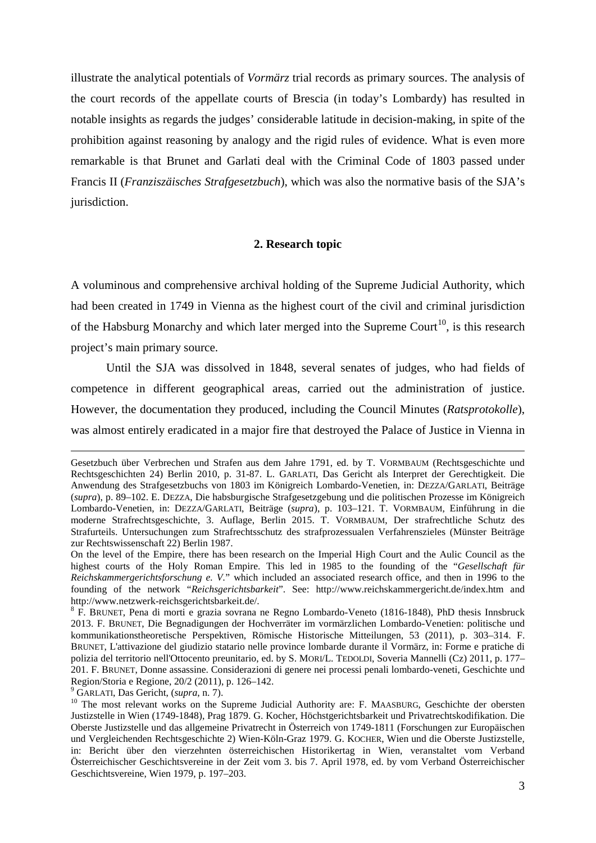illustrate the analytical potentials of *Vormärz* trial records as primary sources. The analysis of the court records of the appellate courts of Brescia (in today's Lombardy) has resulted in notable insights as regards the judges' considerable latitude in decision-making, in spite of the prohibition against reasoning by analogy and the rigid rules of evidence. What is even more remarkable is that Brunet and Garlati deal with the Criminal Code of 1803 passed under Francis II (*Franziszäisches Strafgesetzbuch*), which was also the normative basis of the SJA's jurisdiction.

### **2. Research topic**

A voluminous and comprehensive archival holding of the Supreme Judicial Authority, which had been created in 1749 in Vienna as the highest court of the civil and criminal jurisdiction of the Habsburg Monarchy and which later merged into the Supreme Court<sup>10</sup>, is this research project's main primary source.

Until the SJA was dissolved in 1848, several senates of judges, who had fields of competence in different geographical areas, carried out the administration of justice. However, the documentation they produced, including the Council Minutes (*Ratsprotokolle*), was almost entirely eradicated in a major fire that destroyed the Palace of Justice in Vienna in

Gesetzbuch über Verbrechen und Strafen aus dem Jahre 1791, ed. by T. VORMBAUM (Rechtsgeschichte und Rechtsgeschichten 24) Berlin 2010, p. 31-87. L. GARLATI, Das Gericht als Interpret der Gerechtigkeit. Die Anwendung des Strafgesetzbuchs von 1803 im Königreich Lombardo-Venetien, in: DEZZA/GARLATI, Beiträge (*supra*), p. 89–102. E. DEZZA, Die habsburgische Strafgesetzgebung und die politischen Prozesse im Königreich Lombardo-Venetien, in: DEZZA/GARLATI, Beiträge (*supra*), p. 103–121. T. VORMBAUM, Einführung in die moderne Strafrechtsgeschichte, 3. Auflage, Berlin 2015. T. VORMBAUM, Der strafrechtliche Schutz des Strafurteils. Untersuchungen zum Strafrechtsschutz des strafprozessualen Verfahrenszieles (Münster Beiträge zur Rechtswissenschaft 22) Berlin 1987.

On the level of the Empire, there has been research on the Imperial High Court and the Aulic Council as the highest courts of the Holy Roman Empire. This led in 1985 to the founding of the "*Gesellschaft für Reichskammergerichtsforschung e. V.*" which included an associated research office, and then in 1996 to the founding of the network "*Reichsgerichtsbarkeit*". See: http://www.reichskammergericht.de/index.htm and [http://www.netzwerk-reichsgerichtsbarkeit.de/.](http://www.netzwerk-reichsgerichtsbarkeit.de/)<br><sup>8</sup> F. BRUNET, Pena di morti e grazia sovrana ne Regno Lombardo-Veneto (1816-1848), PhD thesis Innsbruck

<sup>2013.</sup> F. BRUNET, Die Begnadigungen der Hochverräter im vormärzlichen Lombardo-Venetien: politische und kommunikationstheoretische Perspektiven, Römische Historische Mitteilungen, 53 (2011), p. 303–314. F. BRUNET, L'attivazione del giudizio statario nelle province lombarde durante il Vormärz, in: Forme e pratiche di polizia del territorio nell'Ottocento preunitario, ed. by S. MORI/L. TEDOLDI, Soveria Mannelli (Cz) 2011, p. 177– 201. F. BRUNET, Donne assassine. Considerazioni di genere nei processi penali lombardo-veneti, Geschichte und Region/Storia e Regione, 20/2 (2011), p. 126–142.<br><sup>9</sup> GARLATI, Das Gericht, (*supra*, n. 7).<br><sup>10</sup> The most relevant works on the Supreme Judicial Authority are: F. MAASBURG, Geschichte der obersten

<span id="page-2-0"></span>Justizstelle in Wien (1749-1848), Prag 1879. G. Kocher, Höchstgerichtsbarkeit und Privatrechtskodifikation. Die Oberste Justizstelle und das allgemeine Privatrecht in Österreich von 1749-1811 (Forschungen zur Europäischen und Vergleichenden Rechtsgeschichte 2) Wien-Köln-Graz 1979. G. KOCHER, Wien und die Oberste Justizstelle, in: Bericht über den vierzehnten österreichischen Historikertag in Wien, veranstaltet vom Verband Österreichischer Geschichtsvereine in der Zeit vom 3. bis 7. April 1978, ed. by vom Verband Österreichischer Geschichtsvereine, Wien 1979, p. 197–203.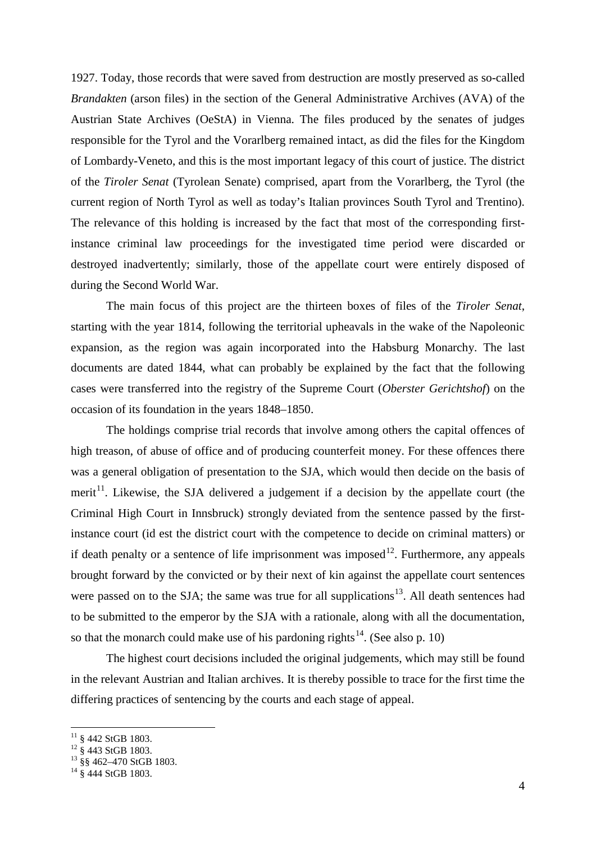1927. Today, those records that were saved from destruction are mostly preserved as so-called *Brandakten* (arson files) in the section of the General Administrative Archives (AVA) of the Austrian State Archives (OeStA) in Vienna. The files produced by the senates of judges responsible for the Tyrol and the Vorarlberg remained intact, as did the files for the Kingdom of Lombardy-Veneto, and this is the most important legacy of this court of justice. The district of the *Tiroler Senat* (Tyrolean Senate) comprised, apart from the Vorarlberg, the Tyrol (the current region of North Tyrol as well as today's Italian provinces South Tyrol and Trentino). The relevance of this holding is increased by the fact that most of the corresponding firstinstance criminal law proceedings for the investigated time period were discarded or destroyed inadvertently; similarly, those of the appellate court were entirely disposed of during the Second World War.

The main focus of this project are the thirteen boxes of files of the *Tiroler Senat*, starting with the year 1814, following the territorial upheavals in the wake of the Napoleonic expansion, as the region was again incorporated into the Habsburg Monarchy. The last documents are dated 1844, what can probably be explained by the fact that the following cases were transferred into the registry of the Supreme Court (*Oberster Gerichtshof*) on the occasion of its foundation in the years 1848–1850.

The holdings comprise trial records that involve among others the capital offences of high treason, of abuse of office and of producing counterfeit money. For these offences there was a general obligation of presentation to the SJA, which would then decide on the basis of merit<sup>11</sup>. Likewise, the SJA delivered a judgement if a decision by the appellate court (the Criminal High Court in Innsbruck) strongly deviated from the sentence passed by the firstinstance court (id est the district court with the competence to decide on criminal matters) or if death penalty or a sentence of life imprisonment was imposed<sup>[12](#page-3-1)</sup>. Furthermore, any appeals brought forward by the convicted or by their next of kin against the appellate court sentences were passed on to the SJA; the same was true for all supplications<sup>13</sup>. All death sentences had to be submitted to the emperor by the SJA with a rationale, along with all the documentation, so that the monarch could make use of his pardoning rights<sup>[14](#page-3-3)</sup>. (See also p. 10)

The highest court decisions included the original judgements, which may still be found in the relevant Austrian and Italian archives. It is thereby possible to trace for the first time the differing practices of sentencing by the courts and each stage of appeal.

<span id="page-3-2"></span><span id="page-3-1"></span>

<span id="page-3-0"></span><sup>11 § 442</sup> StGB 1803.<br><sup>12</sup> § 443 StGB 1803.<br><sup>13</sup> §§ 462–470 StGB 1803.<br><sup>14</sup> § 444 StGB 1803.

<span id="page-3-3"></span>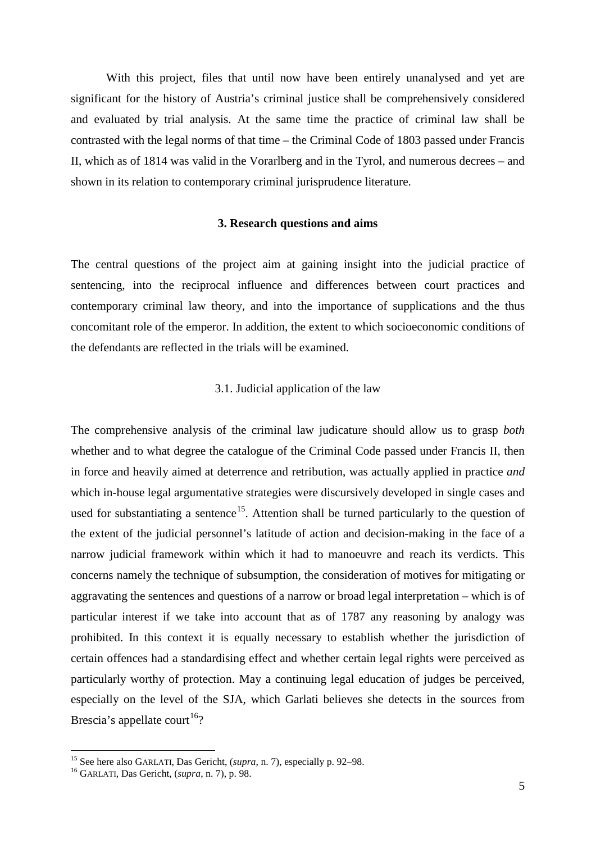With this project, files that until now have been entirely unanalysed and yet are significant for the history of Austria's criminal justice shall be comprehensively considered and evaluated by trial analysis. At the same time the practice of criminal law shall be contrasted with the legal norms of that time – the Criminal Code of 1803 passed under Francis II, which as of 1814 was valid in the Vorarlberg and in the Tyrol, and numerous decrees – and shown in its relation to contemporary criminal jurisprudence literature.

#### **3. Research questions and aims**

The central questions of the project aim at gaining insight into the judicial practice of sentencing, into the reciprocal influence and differences between court practices and contemporary criminal law theory, and into the importance of supplications and the thus concomitant role of the emperor. In addition, the extent to which socioeconomic conditions of the defendants are reflected in the trials will be examined.

## 3.1. Judicial application of the law

The comprehensive analysis of the criminal law judicature should allow us to grasp *both*  whether and to what degree the catalogue of the Criminal Code passed under Francis II, then in force and heavily aimed at deterrence and retribution, was actually applied in practice *and*  which in-house legal argumentative strategies were discursively developed in single cases and used for substantiating a sentence<sup>[15](#page-4-0)</sup>. Attention shall be turned particularly to the question of the extent of the judicial personnel's latitude of action and decision-making in the face of a narrow judicial framework within which it had to manoeuvre and reach its verdicts. This concerns namely the technique of subsumption, the consideration of motives for mitigating or aggravating the sentences and questions of a narrow or broad legal interpretation – which is of particular interest if we take into account that as of 1787 any reasoning by analogy was prohibited. In this context it is equally necessary to establish whether the jurisdiction of certain offences had a standardising effect and whether certain legal rights were perceived as particularly worthy of protection. May a continuing legal education of judges be perceived, especially on the level of the SJA, which Garlati believes she detects in the sources from Brescia's appellate court<sup>[16](#page-4-1)</sup>?

<span id="page-4-0"></span><sup>15</sup> See here also GARLATI, Das Gericht, (*supra*, n. 7), especially p. 92–98. <sup>16</sup> GARLATI, Das Gericht, (*supra*, n. 7), p. 98.

<span id="page-4-1"></span>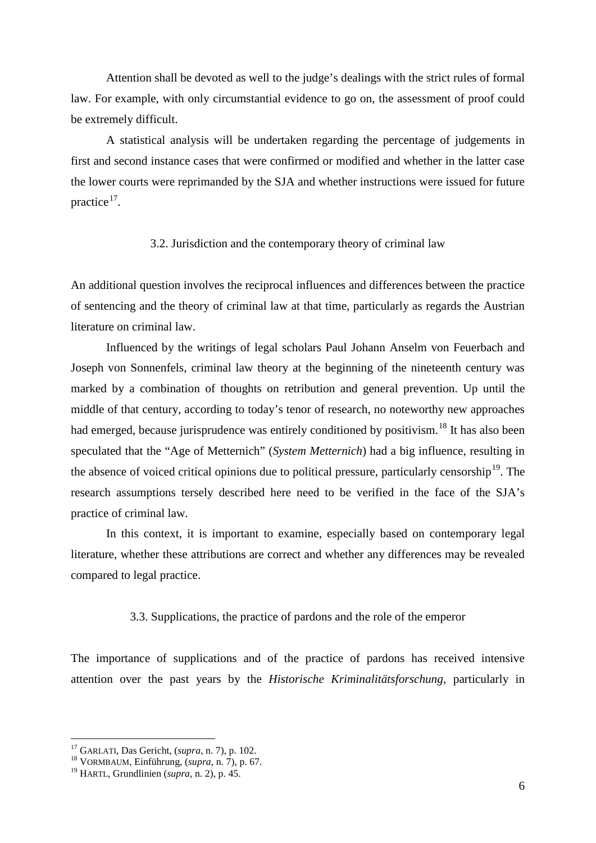Attention shall be devoted as well to the judge's dealings with the strict rules of formal law. For example, with only circumstantial evidence to go on, the assessment of proof could be extremely difficult.

A statistical analysis will be undertaken regarding the percentage of judgements in first and second instance cases that were confirmed or modified and whether in the latter case the lower courts were reprimanded by the SJA and whether instructions were issued for future practice<sup>[17](#page-5-0)</sup>.

#### 3.2. Jurisdiction and the contemporary theory of criminal law

An additional question involves the reciprocal influences and differences between the practice of sentencing and the theory of criminal law at that time, particularly as regards the Austrian literature on criminal law.

Influenced by the writings of legal scholars Paul Johann Anselm von Feuerbach and Joseph von Sonnenfels, criminal law theory at the beginning of the nineteenth century was marked by a combination of thoughts on retribution and general prevention. Up until the middle of that century, according to today's tenor of research, no noteworthy new approaches had emerged, because jurisprudence was entirely conditioned by positivism.<sup>[18](#page-5-1)</sup> It has also been speculated that the "Age of Metternich" (*System Metternich*) had a big influence, resulting in the absence of voiced critical opinions due to political pressure, particularly censorship<sup>19</sup>. The research assumptions tersely described here need to be verified in the face of the SJA's practice of criminal law.

In this context, it is important to examine, especially based on contemporary legal literature, whether these attributions are correct and whether any differences may be revealed compared to legal practice.

#### 3.3. Supplications, the practice of pardons and the role of the emperor

The importance of supplications and of the practice of pardons has received intensive attention over the past years by the *Historische Kriminalitätsforschung*, particularly in

<span id="page-5-0"></span><sup>&</sup>lt;sup>17</sup> GARLATI, Das Gericht, (*supra*, n. 7), p. 102.<br><sup>18</sup> VORMBAUM, Einführung, (*supra*, n. 7), p. 67.

<span id="page-5-2"></span><span id="page-5-1"></span><sup>19</sup> HARTL, Grundlinien (*supra*, n. 2), p. 45.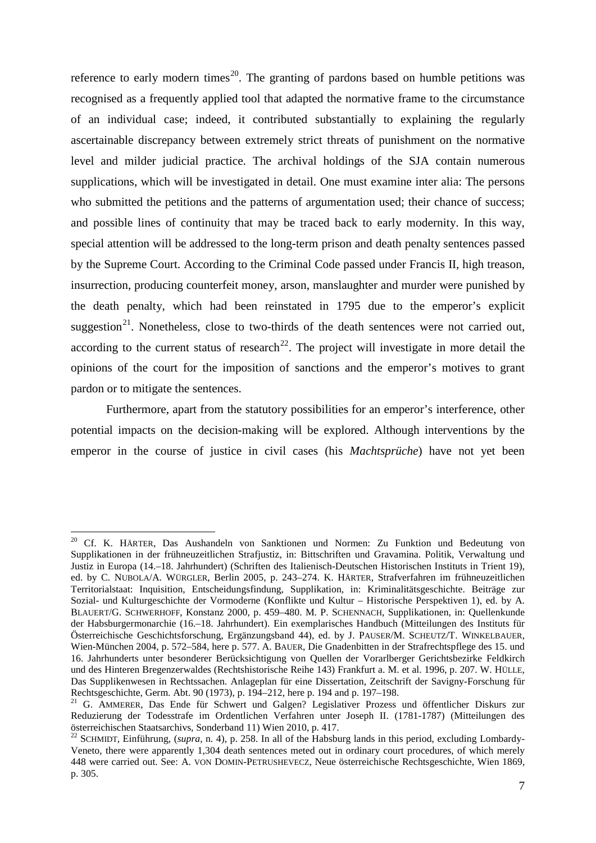reference to early modern times<sup>[20](#page-6-0)</sup>. The granting of pardons based on humble petitions was recognised as a frequently applied tool that adapted the normative frame to the circumstance of an individual case; indeed, it contributed substantially to explaining the regularly ascertainable discrepancy between extremely strict threats of punishment on the normative level and milder judicial practice. The archival holdings of the SJA contain numerous supplications, which will be investigated in detail. One must examine inter alia: The persons who submitted the petitions and the patterns of argumentation used; their chance of success; and possible lines of continuity that may be traced back to early modernity. In this way, special attention will be addressed to the long-term prison and death penalty sentences passed by the Supreme Court. According to the Criminal Code passed under Francis II, high treason, insurrection, producing counterfeit money, arson, manslaughter and murder were punished by the death penalty, which had been reinstated in 1795 due to the emperor's explicit suggestion<sup>21</sup>. Nonetheless, close to two-thirds of the death sentences were not carried out, according to the current status of research<sup>[22](#page-6-2)</sup>. The project will investigate in more detail the opinions of the court for the imposition of sanctions and the emperor's motives to grant pardon or to mitigate the sentences.

Furthermore, apart from the statutory possibilities for an emperor's interference, other potential impacts on the decision-making will be explored. Although interventions by the emperor in the course of justice in civil cases (his *Machtsprüche*) have not yet been

<span id="page-6-0"></span><sup>&</sup>lt;sup>20</sup> Cf. K. HÄRTER, Das Aushandeln von Sanktionen und Normen: Zu Funktion und Bedeutung von Supplikationen in der frühneuzeitlichen Strafjustiz, in: Bittschriften und Gravamina. Politik, Verwaltung und Justiz in Europa (14.–18. Jahrhundert) (Schriften des Italienisch-Deutschen Historischen Instituts in Trient 19), ed. by C. NUBOLA/A. WÜRGLER, Berlin 2005, p. 243–274. K. HÄRTER, Strafverfahren im frühneuzeitlichen Territorialstaat: Inquisition, Entscheidungsfindung, Supplikation, in: Kriminalitätsgeschichte. Beiträge zur Sozial- und Kulturgeschichte der Vormoderne (Konflikte und Kultur – Historische Perspektiven 1), ed. by A. BLAUERT/G. SCHWERHOFF, Konstanz 2000, p. 459–480. M. P. SCHENNACH, Supplikationen, in: Quellenkunde der Habsburgermonarchie (16.–18. Jahrhundert). Ein exemplarisches Handbuch (Mitteilungen des Instituts für Österreichische Geschichtsforschung, Ergänzungsband 44), ed. by J. PAUSER/M. SCHEUTZ/T. WINKELBAUER, Wien-München 2004, p. 572–584, here p. 577. A. BAUER, Die Gnadenbitten in der Strafrechtspflege des 15. und 16. Jahrhunderts unter besonderer Berücksichtigung von Quellen der Vorarlberger Gerichtsbezirke Feldkirch und des Hinteren Bregenzerwaldes (Rechtshistorische Reihe 143) Frankfurt a. M. et al. 1996, p. 207. W. HÜLLE, Das Supplikenwesen in Rechtssachen. Anlageplan für eine Dissertation, Zeitschrift der Savigny-Forschung für Rechtsgeschichte, Germ. Abt. 90 (1973), p. 194–212, here p. 194 and p. 197–198.

<span id="page-6-1"></span><sup>&</sup>lt;sup>21</sup> G. AMMERER, Das Ende für Schwert und Galgen? Legislativer Prozess und öffentlicher Diskurs zur Reduzierung der Todesstrafe im Ordentlichen Verfahren unter Joseph II. (1781-1787) (Mitteilungen des österreichischen Staatsarchivs, Sonderband 11) Wien 2010, p. 417.

<span id="page-6-2"></span><sup>&</sup>lt;sup>22</sup> SCHMIDT. Einführung, (*supra*, n. 4), p. 258. In all of the Habsburg lands in this period, excluding Lombardy-Veneto, there were apparently 1,304 death sentences meted out in ordinary court procedures, of which merely 448 were carried out. See: A. VON DOMIN-PETRUSHEVECZ, Neue österreichische Rechtsgeschichte, Wien 1869, p. 305.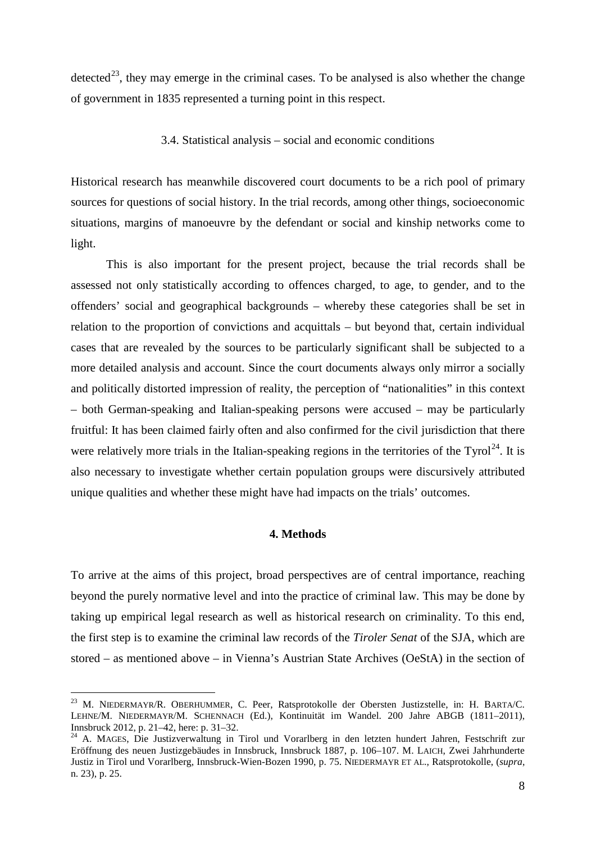detected<sup>[23](#page-7-0)</sup>, they may emerge in the criminal cases. To be analysed is also whether the change of government in 1835 represented a turning point in this respect.

#### 3.4. Statistical analysis – social and economic conditions

Historical research has meanwhile discovered court documents to be a rich pool of primary sources for questions of social history. In the trial records, among other things, socioeconomic situations, margins of manoeuvre by the defendant or social and kinship networks come to light.

This is also important for the present project, because the trial records shall be assessed not only statistically according to offences charged, to age, to gender, and to the offenders' social and geographical backgrounds – whereby these categories shall be set in relation to the proportion of convictions and acquittals – but beyond that, certain individual cases that are revealed by the sources to be particularly significant shall be subjected to a more detailed analysis and account. Since the court documents always only mirror a socially and politically distorted impression of reality, the perception of "nationalities" in this context – both German-speaking and Italian-speaking persons were accused – may be particularly fruitful: It has been claimed fairly often and also confirmed for the civil jurisdiction that there were relatively more trials in the Italian-speaking regions in the territories of the  $Tyrol<sup>24</sup>$  $Tyrol<sup>24</sup>$  $Tyrol<sup>24</sup>$ . It is also necessary to investigate whether certain population groups were discursively attributed unique qualities and whether these might have had impacts on the trials' outcomes.

## **4. Methods**

To arrive at the aims of this project, broad perspectives are of central importance, reaching beyond the purely normative level and into the practice of criminal law. This may be done by taking up empirical legal research as well as historical research on criminality. To this end, the first step is to examine the criminal law records of the *Tiroler Senat* of the SJA, which are stored – as mentioned above – in Vienna's Austrian State Archives (OeStA) in the section of

<span id="page-7-0"></span><sup>&</sup>lt;sup>23</sup> M. NIEDERMAYR/R. OBERHUMMER, C. Peer, Ratsprotokolle der Obersten Justizstelle, in: H. BARTA/C. LEHNE/M. NIEDERMAYR/M. SCHENNACH (Ed.), Kontinuität im Wandel. 200 Jahre ABGB (1811–2011), Innsbruck 2012, p. 21–42, here: p. 31–32.

<span id="page-7-1"></span><sup>&</sup>lt;sup>24</sup> A. MAGES, Die Justizverwaltung in Tirol und Vorarlberg in den letzten hundert Jahren, Festschrift zur Eröffnung des neuen Justizgebäudes in Innsbruck, Innsbruck 1887, p. 106–107. M. LAICH, Zwei Jahrhunderte Justiz in Tirol und Vorarlberg, Innsbruck-Wien-Bozen 1990, p. 75. NIEDERMAYR ET AL., Ratsprotokolle, (*supra*, n. 23), p. 25.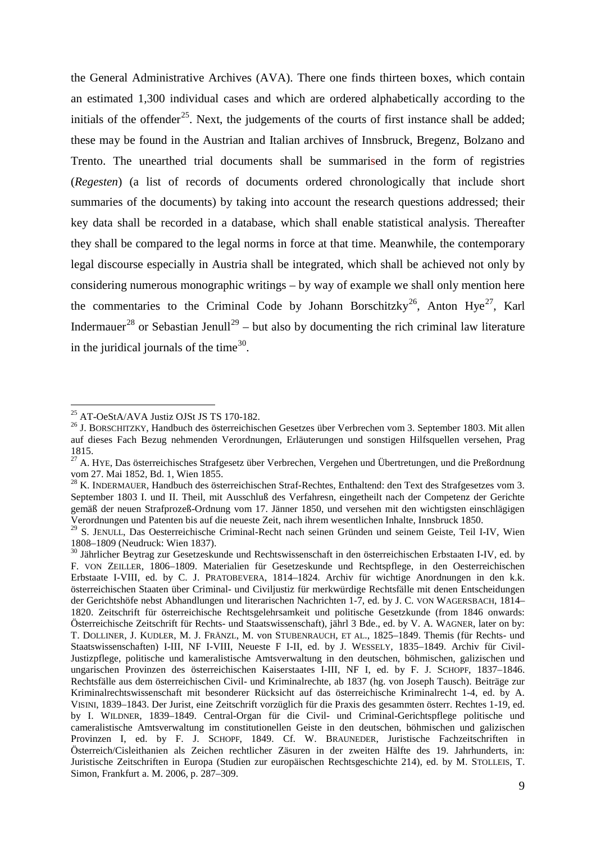the General Administrative Archives (AVA). There one finds thirteen boxes, which contain an estimated 1,300 individual cases and which are ordered alphabetically according to the initials of the offender<sup>[25](#page-8-0)</sup>. Next, the judgements of the courts of first instance shall be added; these may be found in the Austrian and Italian archives of Innsbruck, Bregenz, Bolzano and Trento. The unearthed trial documents shall be summarised in the form of registries (*Regesten*) (a list of records of documents ordered chronologically that include short summaries of the documents) by taking into account the research questions addressed; their key data shall be recorded in a database, which shall enable statistical analysis. Thereafter they shall be compared to the legal norms in force at that time. Meanwhile, the contemporary legal discourse especially in Austria shall be integrated, which shall be achieved not only by considering numerous monographic writings – by way of example we shall only mention here the commentaries to the Criminal Code by Johann Borschitzky<sup>26</sup>, Anton Hye<sup>[27](#page-8-2)</sup>, Karl Indermauer<sup>[28](#page-8-3)</sup> or Sebastian Jenull<sup>[29](#page-8-4)</sup> – but also by documenting the rich criminal law literature in the juridical journals of the time $^{30}$  $^{30}$  $^{30}$ .

<span id="page-8-1"></span><span id="page-8-0"></span><sup>&</sup>lt;sup>25</sup> AT-OeStA/AVA Justiz OJSt JS TS 170-182.<br><sup>26</sup> J. BORSCHITZKY, Handbuch des österreichischen Gesetzes über Verbrechen vom 3. September 1803. Mit allen auf dieses Fach Bezug nehmenden Verordnungen, Erläuterungen und sonstigen Hilfsquellen versehen, Prag 1815.

<span id="page-8-2"></span><sup>&</sup>lt;sup>27</sup> A. HYE, Das österreichisches Strafgesetz über Verbrechen, Vergehen und Übertretungen, und die Preßordnung vom 27. Mai 1852, Bd. 1, Wien 1855.<br><sup>28</sup> K. INDERMAUER, Handbuch des österreichischen Straf-Rechtes, Enthaltend: den Text des Strafgesetzes vom 3.

<span id="page-8-3"></span>September 1803 I. und II. Theil, mit Ausschluß des Verfahresn, eingetheilt nach der Competenz der Gerichte gemäß der neuen Strafprozeß-Ordnung vom 17. Jänner 1850, und versehen mit den wichtigsten einschlägigen Verordnungen und Patenten bis auf die neueste Zeit, nach ihrem wesentlichen Inhalte, Innsbruck 1850.

<span id="page-8-4"></span> $29$  S. JENULL, Das Oesterreichische Criminal-Recht nach seinen Gründen und seinem Geiste, Teil I-IV, Wien 1808–1809 (Neudruck: Wien 1837).

<span id="page-8-5"></span><sup>&</sup>lt;sup>30</sup> Jährlicher Beytrag zur Gesetzeskunde und Rechtswissenschaft in den österreichischen Erbstaaten I-IV, ed. by F. VON ZEILLER, 1806–1809. Materialien für Gesetzeskunde und Rechtspflege, in den Oesterreichischen Erbstaate I-VIII, ed. by C. J. PRATOBEVERA, 1814–1824. Archiv für wichtige Anordnungen in den k.k. österreichischen Staaten über Criminal- und Civiljustiz für merkwürdige Rechtsfälle mit denen Entscheidungen der Gerichtshöfe nebst Abhandlungen und literarischen Nachrichten 1-7, ed. by J. C. VON WAGERSBACH, 1814– 1820. Zeitschrift für österreichische Rechtsgelehrsamkeit und politische Gesetzkunde (from 1846 onwards: Österreichische Zeitschrift für Rechts- und Staatswissenschaft), jährl 3 Bde., ed. by V. A. WAGNER, later on by: T. DOLLINER, J. KUDLER, M. J. FRÄNZL, M. von STUBENRAUCH, ET AL., 1825–1849. Themis (für Rechts- und Staatswissenschaften) I-III, NF I-VIII, Neueste F I-II, ed. by J. WESSELY, 1835–1849. Archiv für Civil-Justizpflege, politische und kameralistische Amtsverwaltung in den deutschen, böhmischen, galizischen und ungarischen Provinzen des österreichischen Kaiserstaates I-III, NF I, ed. by F. J. SCHOPF, 1837–1846. Rechtsfälle aus dem österreichischen Civil- und Kriminalrechte, ab 1837 (hg. von Joseph Tausch). Beiträge zur Kriminalrechtswissenschaft mit besonderer Rücksicht auf das österreichische Kriminalrecht 1-4, ed. by A. VISINI, 1839–1843. Der Jurist, eine Zeitschrift vorzüglich für die Praxis des gesammten österr. Rechtes 1-19, ed. by I. WILDNER, 1839–1849. Central-Organ für die Civil- und Criminal-Gerichtspflege politische und cameralistische Amtsverwaltung im constitutionellen Geiste in den deutschen, böhmischen und galizischen Provinzen I, ed. by F. J. SCHOPF, 1849. Cf. W. BRAUNEDER, Juristische Fachzeitschriften in Österreich/Cisleithanien als Zeichen rechtlicher Zäsuren in der zweiten Hälfte des 19. Jahrhunderts, in: Juristische Zeitschriften in Europa (Studien zur europäischen Rechtsgeschichte 214), ed. by M. STOLLEIS, T. Simon, Frankfurt a. M. 2006, p. 287–309.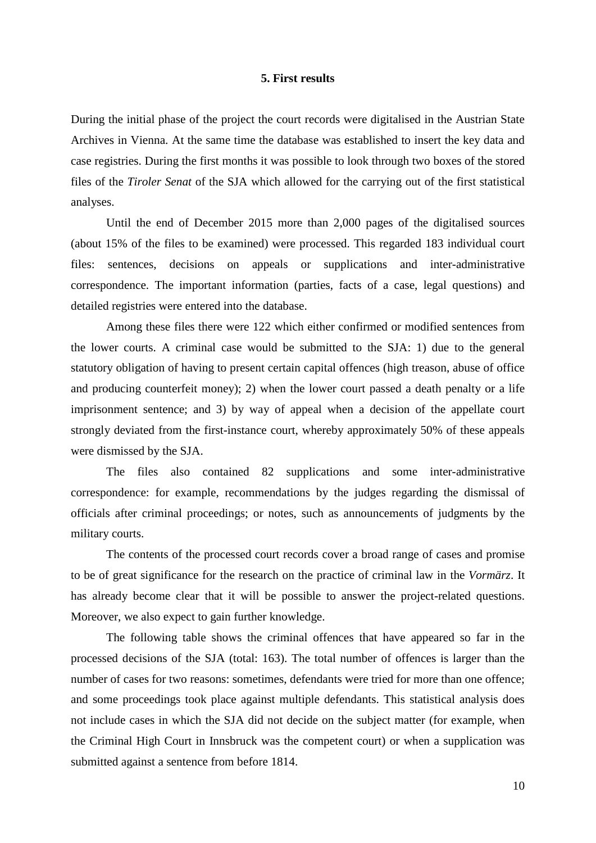#### **5. First results**

During the initial phase of the project the court records were digitalised in the Austrian State Archives in Vienna. At the same time the database was established to insert the key data and case registries. During the first months it was possible to look through two boxes of the stored files of the *Tiroler Senat* of the SJA which allowed for the carrying out of the first statistical analyses.

Until the end of December 2015 more than 2,000 pages of the digitalised sources (about 15% of the files to be examined) were processed. This regarded 183 individual court files: sentences, decisions on appeals or supplications and inter-administrative correspondence. The important information (parties, facts of a case, legal questions) and detailed registries were entered into the database.

Among these files there were 122 which either confirmed or modified sentences from the lower courts. A criminal case would be submitted to the SJA: 1) due to the general statutory obligation of having to present certain capital offences (high treason, abuse of office and producing counterfeit money); 2) when the lower court passed a death penalty or a life imprisonment sentence; and 3) by way of appeal when a decision of the appellate court strongly deviated from the first-instance court, whereby approximately 50% of these appeals were dismissed by the SJA.

The files also contained 82 supplications and some inter-administrative correspondence: for example, recommendations by the judges regarding the dismissal of officials after criminal proceedings; or notes, such as announcements of judgments by the military courts.

The contents of the processed court records cover a broad range of cases and promise to be of great significance for the research on the practice of criminal law in the *Vormärz*. It has already become clear that it will be possible to answer the project-related questions. Moreover, we also expect to gain further knowledge.

The following table shows the criminal offences that have appeared so far in the processed decisions of the SJA (total: 163). The total number of offences is larger than the number of cases for two reasons: sometimes, defendants were tried for more than one offence; and some proceedings took place against multiple defendants. This statistical analysis does not include cases in which the SJA did not decide on the subject matter (for example, when the Criminal High Court in Innsbruck was the competent court) or when a supplication was submitted against a sentence from before 1814.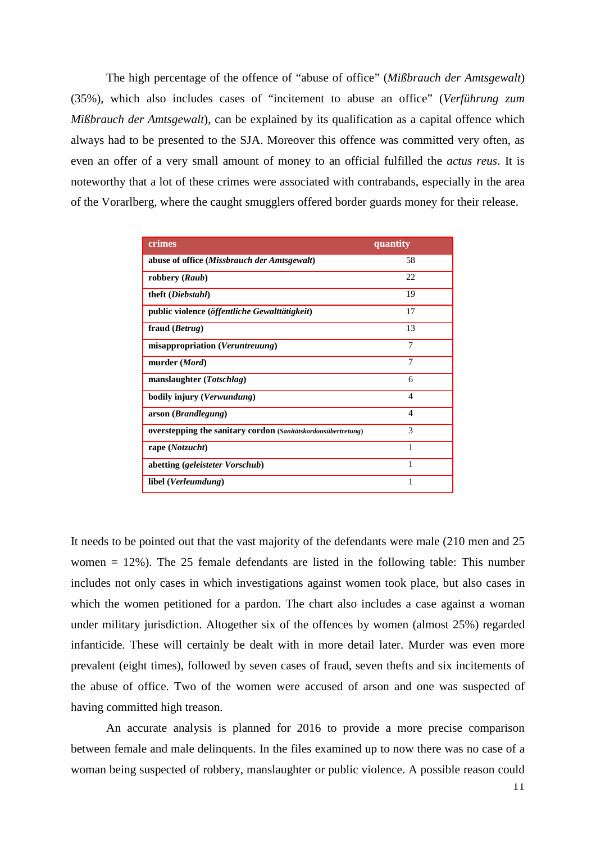The high percentage of the offence of "abuse of office" (*Mißbrauch der Amtsgewalt*) (35%), which also includes cases of "incitement to abuse an office" (*Verführung zum Mißbrauch der Amtsgewalt*), can be explained by its qualification as a capital offence which always had to be presented to the SJA. Moreover this offence was committed very often, as even an offer of a very small amount of money to an official fulfilled the *actus reus*. It is noteworthy that a lot of these crimes were associated with contrabands, especially in the area of the Vorarlberg, where the caught smugglers offered border guards money for their release.

| crimes                                                        | quantity       |
|---------------------------------------------------------------|----------------|
| abuse of office (Missbrauch der Amtsgewalt)                   | 58             |
| robbery (Raub)                                                | 22             |
| theft ( <i>Diebstahl</i> )                                    | 19             |
| public violence (öffentliche Gewalttätigkeit)                 | 17             |
| fraud ( <i>Betrug</i> )                                       | 13             |
| misappropriation (Veruntreuung)                               | 7              |
| murder (Mord)                                                 | 7              |
| manslaughter $(Totshlag)$                                     | 6              |
| bodily injury ( <i>Verwundung</i> )                           | $\overline{4}$ |
| arson ( <i>Brandlegung</i> )                                  | $\overline{4}$ |
| overstepping the sanitary cordon (Sanitätskordonsübertretung) | 3              |
| rape ( <i>Notzucht</i> )                                      | 1              |
| abetting (geleisteter Vorschub)                               | 1              |
| libel ( <i>Verleumdung</i> )                                  | 1              |

It needs to be pointed out that the vast majority of the defendants were male (210 men and 25 women = 12%). The 25 female defendants are listed in the following table: This number includes not only cases in which investigations against women took place, but also cases in which the women petitioned for a pardon. The chart also includes a case against a woman under military jurisdiction. Altogether six of the offences by women (almost 25%) regarded infanticide. These will certainly be dealt with in more detail later. Murder was even more prevalent (eight times), followed by seven cases of fraud, seven thefts and six incitements of the abuse of office. Two of the women were accused of arson and one was suspected of having committed high treason.

An accurate analysis is planned for 2016 to provide a more precise comparison between female and male delinquents. In the files examined up to now there was no case of a woman being suspected of robbery, manslaughter or public violence. A possible reason could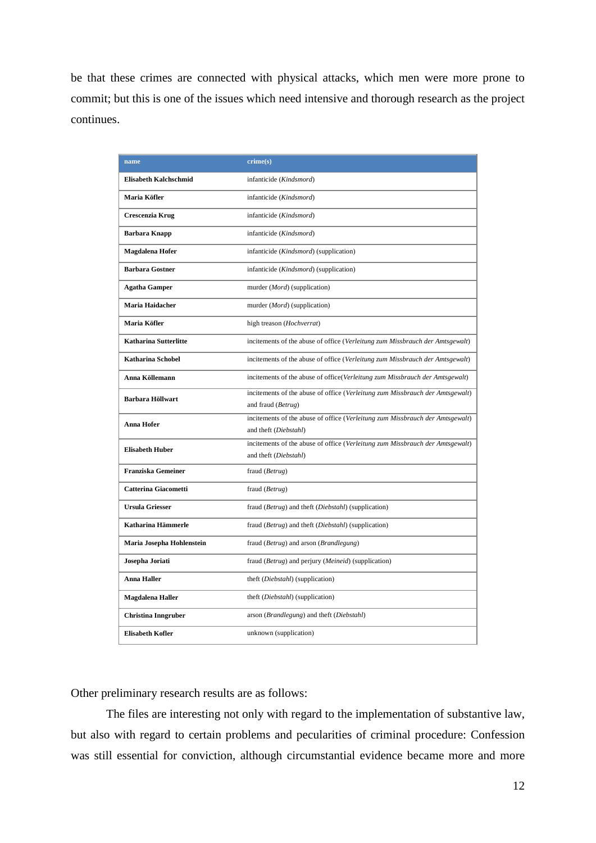be that these crimes are connected with physical attacks, which men were more prone to commit; but this is one of the issues which need intensive and thorough research as the project continues.

| name                                                                                                                 | $\text{crime}(s)$                                                             |  |
|----------------------------------------------------------------------------------------------------------------------|-------------------------------------------------------------------------------|--|
| <b>Elisabeth Kalchschmid</b>                                                                                         | infanticide (Kindsmord)                                                       |  |
| Maria Köfler                                                                                                         | infanticide (Kindsmord)                                                       |  |
| Crescenzia Krug                                                                                                      | infanticide (Kindsmord)                                                       |  |
| <b>Barbara Knapp</b>                                                                                                 | infanticide (Kindsmord)                                                       |  |
| Magdalena Hofer                                                                                                      | infanticide (Kindsmord) (supplication)                                        |  |
| <b>Barbara Gostner</b>                                                                                               | infanticide (Kindsmord) (supplication)                                        |  |
| <b>Agatha Gamper</b>                                                                                                 | murder ( <i>Mord</i> ) (supplication)                                         |  |
| Maria Haidacher                                                                                                      | murder ( <i>Mord</i> ) (supplication)                                         |  |
| Maria Köfler                                                                                                         | high treason (Hochverrat)                                                     |  |
| <b>Katharina Sutterlitte</b>                                                                                         | incitements of the abuse of office (Verleitung zum Missbrauch der Amtsgewalt) |  |
| <b>Katharina Schobel</b>                                                                                             | incitements of the abuse of office (Verleitung zum Missbrauch der Amtsgewalt) |  |
| Anna Köllemann                                                                                                       | incitements of the abuse of office(Verleitung zum Missbrauch der Amtsgewalt)  |  |
| <b>Barbara Höllwart</b>                                                                                              | incitements of the abuse of office (Verleitung zum Missbrauch der Amtsgewalt) |  |
|                                                                                                                      | and fraud (Betrug)                                                            |  |
| incitements of the abuse of office (Verleitung zum Missbrauch der Amtsgewalt)<br>Anna Hofer<br>and theft (Diebstahl) |                                                                               |  |
|                                                                                                                      | incitements of the abuse of office (Verleitung zum Missbrauch der Amtsgewalt) |  |
| <b>Elisabeth Huber</b>                                                                                               | and theft (Diebstahl)                                                         |  |
| <b>Franziska Gemeiner</b>                                                                                            | fraud (Betrug)                                                                |  |
| <b>Catterina Giacometti</b>                                                                                          | fraud (Betrug)                                                                |  |
| <b>Ursula Griesser</b>                                                                                               | fraud ( <i>Betrug</i> ) and theft ( <i>Diebstahl</i> ) (supplication)         |  |
| Katharina Hämmerle                                                                                                   | fraud (Betrug) and theft (Diebstahl) (supplication)                           |  |
| Maria Josepha Hohlenstein                                                                                            | fraud (Betrug) and arson (Brandlegung)                                        |  |
| Josepha Joriati                                                                                                      | fraud (Betrug) and perjury (Meineid) (supplication)                           |  |
| <b>Anna Haller</b>                                                                                                   | theft ( <i>Diebstahl</i> ) (supplication)                                     |  |
| Magdalena Haller                                                                                                     | theft (Diebstahl) (supplication)                                              |  |
| <b>Christina Inngruber</b>                                                                                           | arson (Brandlegung) and theft (Diebstahl)                                     |  |
| <b>Elisabeth Kofler</b>                                                                                              | unknown (supplication)                                                        |  |

Other preliminary research results are as follows:

The files are interesting not only with regard to the implementation of substantive law, but also with regard to certain problems and pecularities of criminal procedure: Confession was still essential for conviction, although circumstantial evidence became more and more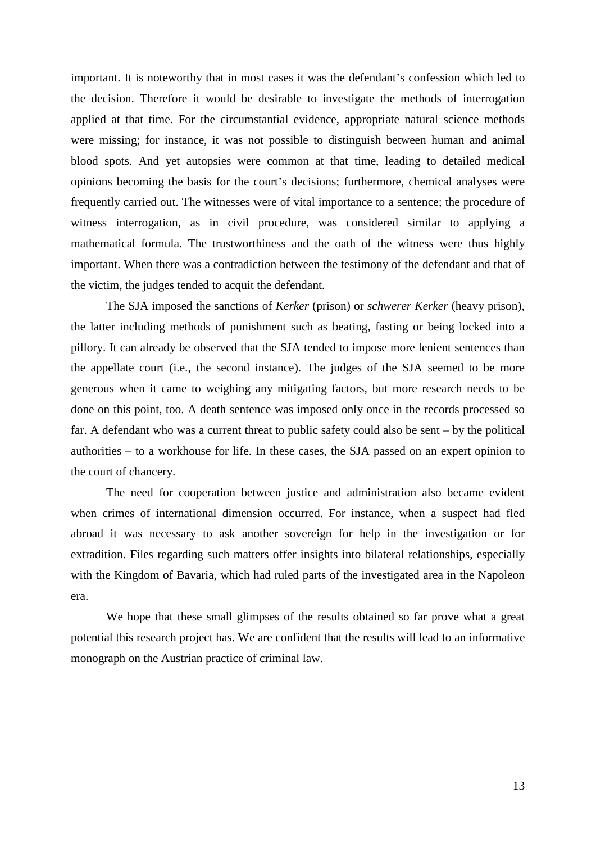important. It is noteworthy that in most cases it was the defendant's confession which led to the decision. Therefore it would be desirable to investigate the methods of interrogation applied at that time. For the circumstantial evidence, appropriate natural science methods were missing; for instance, it was not possible to distinguish between human and animal blood spots. And yet autopsies were common at that time, leading to detailed medical opinions becoming the basis for the court's decisions; furthermore, chemical analyses were frequently carried out. The witnesses were of vital importance to a sentence; the procedure of witness interrogation, as in civil procedure, was considered similar to applying a mathematical formula. The trustworthiness and the oath of the witness were thus highly important. When there was a contradiction between the testimony of the defendant and that of the victim, the judges tended to acquit the defendant.

The SJA imposed the sanctions of *Kerker* (prison) or *schwerer Kerker* (heavy prison), the latter including methods of punishment such as beating, fasting or being locked into a pillory. It can already be observed that the SJA tended to impose more lenient sentences than the appellate court (i.e., the second instance). The judges of the SJA seemed to be more generous when it came to weighing any mitigating factors, but more research needs to be done on this point, too. A death sentence was imposed only once in the records processed so far. A defendant who was a current threat to public safety could also be sent – by the political authorities – to a workhouse for life. In these cases, the SJA passed on an expert opinion to the court of chancery.

The need for cooperation between justice and administration also became evident when crimes of international dimension occurred. For instance, when a suspect had fled abroad it was necessary to ask another sovereign for help in the investigation or for extradition. Files regarding such matters offer insights into bilateral relationships, especially with the Kingdom of Bavaria, which had ruled parts of the investigated area in the Napoleon era.

We hope that these small glimpses of the results obtained so far prove what a great potential this research project has. We are confident that the results will lead to an informative monograph on the Austrian practice of criminal law.